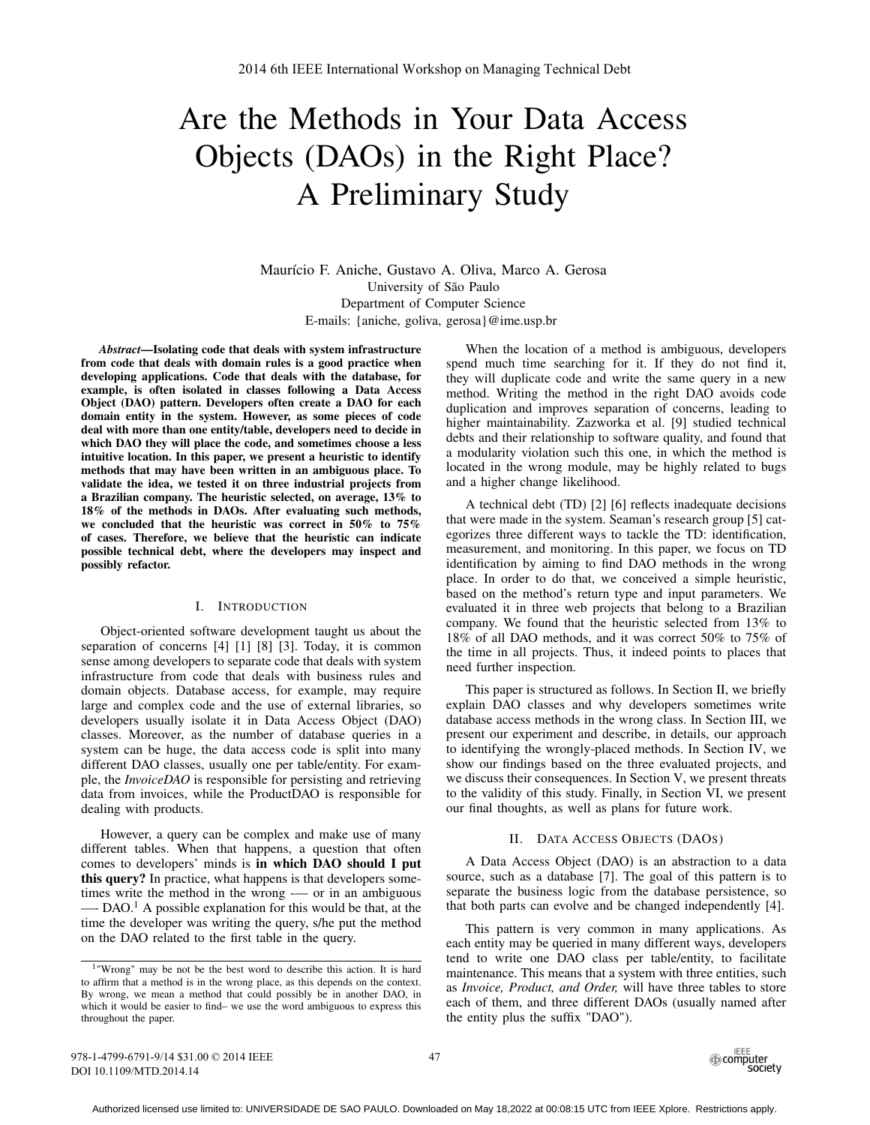# Are the Methods in Your Data Access Objects (DAOs) in the Right Place? A Preliminary Study

Maurício F. Aniche, Gustavo A. Oliva, Marco A. Gerosa University of São Paulo Department of Computer Science E-mails: {aniche, goliva, gerosa}@ime.usp.br

*Abstract*—Isolating code that deals with system infrastructure from code that deals with domain rules is a good practice when developing applications. Code that deals with the database, for example, is often isolated in classes following a Data Access Object (DAO) pattern. Developers often create a DAO for each domain entity in the system. However, as some pieces of code deal with more than one entity/table, developers need to decide in which DAO they will place the code, and sometimes choose a less intuitive location. In this paper, we present a heuristic to identify methods that may have been written in an ambiguous place. To validate the idea, we tested it on three industrial projects from a Brazilian company. The heuristic selected, on average, 13% to 18% of the methods in DAOs. After evaluating such methods, we concluded that the heuristic was correct in 50% to 75% of cases. Therefore, we believe that the heuristic can indicate possible technical debt, where the developers may inspect and possibly refactor.

## I. INTRODUCTION

Object-oriented software development taught us about the separation of concerns [4] [1] [8] [3]. Today, it is common sense among developers to separate code that deals with system infrastructure from code that deals with business rules and domain objects. Database access, for example, may require large and complex code and the use of external libraries, so developers usually isolate it in Data Access Object (DAO) classes. Moreover, as the number of database queries in a system can be huge, the data access code is split into many different DAO classes, usually one per table/entity. For example, the *InvoiceDAO* is responsible for persisting and retrieving data from invoices, while the ProductDAO is responsible for dealing with products.

However, a query can be complex and make use of many different tables. When that happens, a question that often comes to developers' minds is in which DAO should I put this query? In practice, what happens is that developers sometimes write the method in the wrong -— or in an ambiguous —- DAO.<sup>1</sup> A possible explanation for this would be that, at the time the developer was writing the query, s/he put the method on the DAO related to the first table in the query.

When the location of a method is ambiguous, developers spend much time searching for it. If they do not find it, they will duplicate code and write the same query in a new method. Writing the method in the right DAO avoids code duplication and improves separation of concerns, leading to higher maintainability. Zazworka et al. [9] studied technical debts and their relationship to software quality, and found that a modularity violation such this one, in which the method is located in the wrong module, may be highly related to bugs and a higher change likelihood.

A technical debt (TD) [2] [6] reflects inadequate decisions that were made in the system. Seaman's research group [5] categorizes three different ways to tackle the TD: identification, measurement, and monitoring. In this paper, we focus on TD identification by aiming to find DAO methods in the wrong place. In order to do that, we conceived a simple heuristic, based on the method's return type and input parameters. We evaluated it in three web projects that belong to a Brazilian company. We found that the heuristic selected from 13% to 18% of all DAO methods, and it was correct 50% to 75% of the time in all projects. Thus, it indeed points to places that need further inspection.

This paper is structured as follows. In Section II, we briefly explain DAO classes and why developers sometimes write database access methods in the wrong class. In Section III, we present our experiment and describe, in details, our approach to identifying the wrongly-placed methods. In Section IV, we show our findings based on the three evaluated projects, and we discuss their consequences. In Section V, we present threats to the validity of this study. Finally, in Section VI, we present our final thoughts, as well as plans for future work.

## II. DATA ACCESS OBJECTS (DAOS)

A Data Access Object (DAO) is an abstraction to a data source, such as a database [7]. The goal of this pattern is to separate the business logic from the database persistence, so that both parts can evolve and be changed independently [4].

This pattern is very common in many applications. As each entity may be queried in many different ways, developers tend to write one DAO class per table/entity, to facilitate maintenance. This means that a system with three entities, such as *Invoice, Product, and Order,* will have three tables to store each of them, and three different DAOs (usually named after the entity plus the suffix "DAO").



<sup>1&</sup>quot;Wrong" may be not be the best word to describe this action. It is hard to affirm that a method is in the wrong place, as this depends on the context. By wrong, we mean a method that could possibly be in another DAO, in which it would be easier to find– we use the word ambiguous to express this throughout the paper.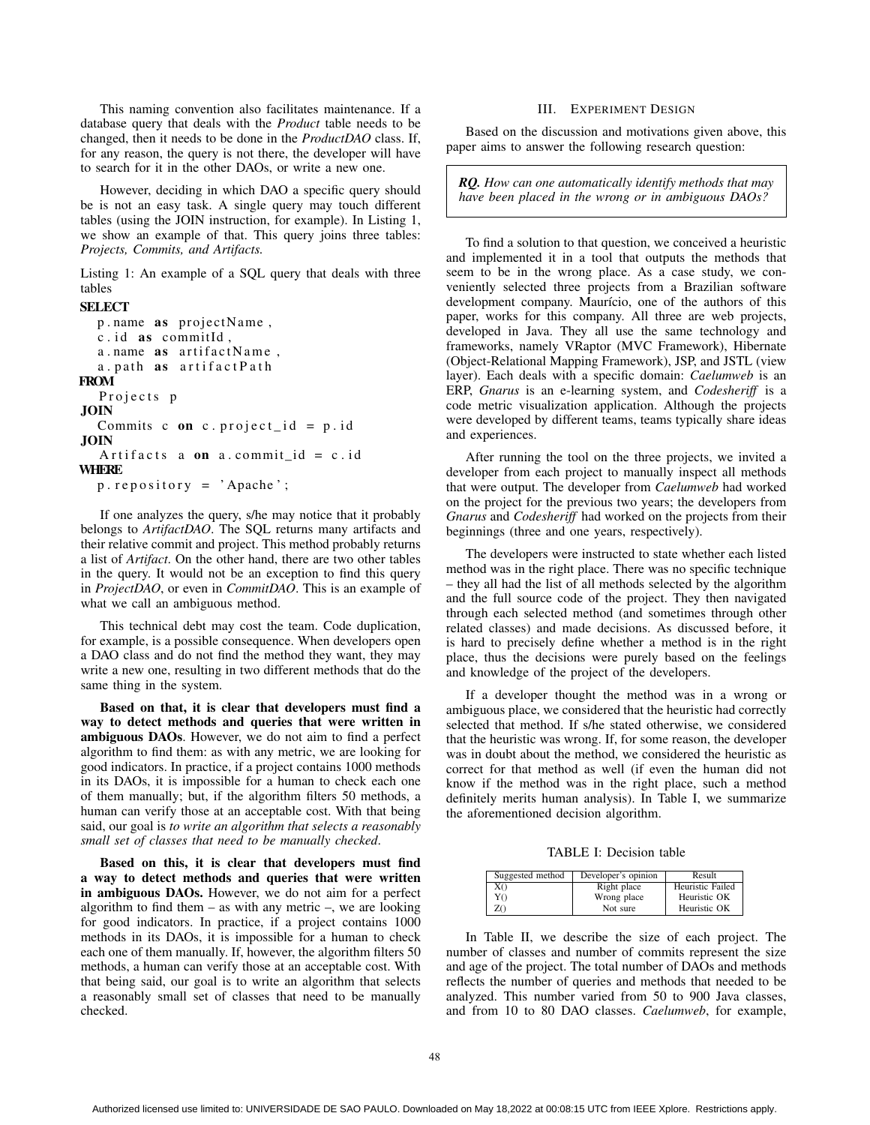This naming convention also facilitates maintenance. If a database query that deals with the *Product* table needs to be changed, then it needs to be done in the *ProductDAO* class. If, for any reason, the query is not there, the developer will have to search for it in the other DAOs, or write a new one.

However, deciding in which DAO a specific query should be is not an easy task. A single query may touch different tables (using the JOIN instruction, for example). In Listing 1, we show an example of that. This query joins three tables: *Projects, Commits, and Artifacts.*

Listing 1: An example of a SQL query that deals with three tables

# SELECT

p. name as projectName, c. id as commitId, a . name as artifactName, a. path as artifactPath FROM Projects p JOIN Commits c on c. project\_id =  $p$ . id JOIN Artifacts a **on** a. commit\_id =  $c$ . id **WHERE** p. repository = ' Apache ' ;

If one analyzes the query, s/he may notice that it probably belongs to *ArtifactDAO*. The SQL returns many artifacts and their relative commit and project. This method probably returns a list of *Artifact*. On the other hand, there are two other tables in the query. It would not be an exception to find this query in *ProjectDAO*, or even in *CommitDAO*. This is an example of what we call an ambiguous method.

This technical debt may cost the team. Code duplication, for example, is a possible consequence. When developers open a DAO class and do not find the method they want, they may write a new one, resulting in two different methods that do the same thing in the system.

Based on that, it is clear that developers must find a way to detect methods and queries that were written in ambiguous DAOs. However, we do not aim to find a perfect algorithm to find them: as with any metric, we are looking for good indicators. In practice, if a project contains 1000 methods in its DAOs, it is impossible for a human to check each one of them manually; but, if the algorithm filters 50 methods, a human can verify those at an acceptable cost. With that being said, our goal is *to write an algorithm that selects a reasonably small set of classes that need to be manually checked*.

Based on this, it is clear that developers must find a way to detect methods and queries that were written in ambiguous DAOs. However, we do not aim for a perfect algorithm to find them  $-$  as with any metric  $-$ , we are looking for good indicators. In practice, if a project contains 1000 methods in its DAOs, it is impossible for a human to check each one of them manually. If, however, the algorithm filters 50 methods, a human can verify those at an acceptable cost. With that being said, our goal is to write an algorithm that selects a reasonably small set of classes that need to be manually checked.

## III. EXPERIMENT DESIGN

Based on the discussion and motivations given above, this paper aims to answer the following research question:

*RQ. How can one automatically identify methods that may have been placed in the wrong or in ambiguous DAOs?*

To find a solution to that question, we conceived a heuristic and implemented it in a tool that outputs the methods that seem to be in the wrong place. As a case study, we conveniently selected three projects from a Brazilian software development company. Maurício, one of the authors of this paper, works for this company. All three are web projects, developed in Java. They all use the same technology and frameworks, namely VRaptor (MVC Framework), Hibernate (Object-Relational Mapping Framework), JSP, and JSTL (view layer). Each deals with a specific domain: *Caelumweb* is an ERP, *Gnarus* is an e-learning system, and *Codesheriff* is a code metric visualization application. Although the projects were developed by different teams, teams typically share ideas and experiences.

After running the tool on the three projects, we invited a developer from each project to manually inspect all methods that were output. The developer from *Caelumweb* had worked on the project for the previous two years; the developers from *Gnarus* and *Codesheriff* had worked on the projects from their beginnings (three and one years, respectively).

The developers were instructed to state whether each listed method was in the right place. There was no specific technique – they all had the list of all methods selected by the algorithm and the full source code of the project. They then navigated through each selected method (and sometimes through other related classes) and made decisions. As discussed before, it is hard to precisely define whether a method is in the right place, thus the decisions were purely based on the feelings and knowledge of the project of the developers.

If a developer thought the method was in a wrong or ambiguous place, we considered that the heuristic had correctly selected that method. If s/he stated otherwise, we considered that the heuristic was wrong. If, for some reason, the developer was in doubt about the method, we considered the heuristic as correct for that method as well (if even the human did not know if the method was in the right place, such a method definitely merits human analysis). In Table I, we summarize the aforementioned decision algorithm.

TABLE I: Decision table

| Suggested method | Developer's opinion | Result           |
|------------------|---------------------|------------------|
| X()              | Right place         | Heuristic Failed |
| Y0               | Wrong place         | Heuristic OK     |
| ZO.              | Not sure            | Heuristic OK     |

In Table II, we describe the size of each project. The number of classes and number of commits represent the size and age of the project. The total number of DAOs and methods reflects the number of queries and methods that needed to be analyzed. This number varied from 50 to 900 Java classes, and from 10 to 80 DAO classes. *Caelumweb*, for example,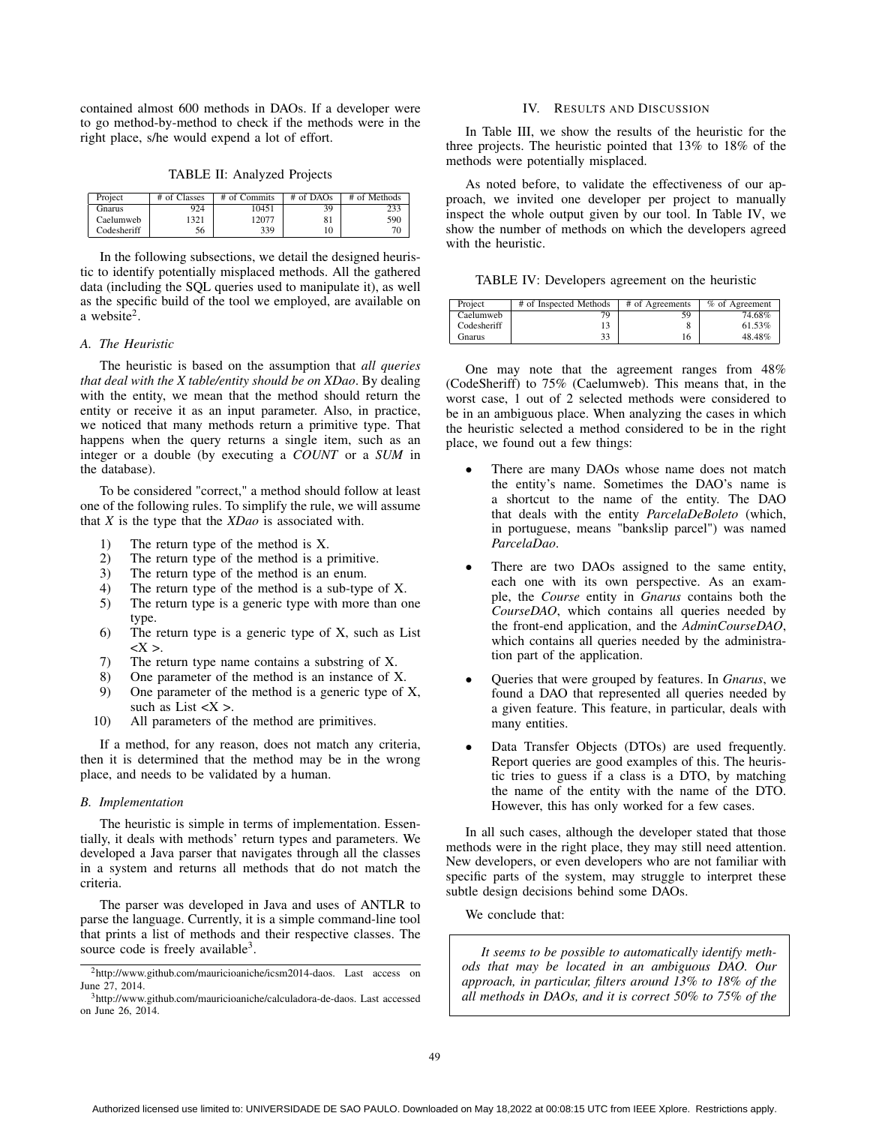contained almost 600 methods in DAOs. If a developer were to go method-by-method to check if the methods were in the right place, s/he would expend a lot of effort.

TABLE II: Analyzed Projects

| Project     | # of Classes | # of Commits | $#$ of DAOs | # of Methods |
|-------------|--------------|--------------|-------------|--------------|
| Gnarus      | $-924$       | 10451        | 39          |              |
| Caelumweb   | 1321         | 2071         | 81          | 590          |
| Codesheriff | 56           | 339          | 10          |              |

In the following subsections, we detail the designed heuristic to identify potentially misplaced methods. All the gathered data (including the SQL queries used to manipulate it), as well as the specific build of the tool we employed, are available on a website $^2$ .

## *A. The Heuristic*

The heuristic is based on the assumption that *all queries that deal with the X table/entity should be on XDao*. By dealing with the entity, we mean that the method should return the entity or receive it as an input parameter. Also, in practice, we noticed that many methods return a primitive type. That happens when the query returns a single item, such as an integer or a double (by executing a *COUNT* or a *SUM* in the database).

To be considered "correct," a method should follow at least one of the following rules. To simplify the rule, we will assume that *X* is the type that the *XDao* is associated with.

- 1) The return type of the method is X.
- 2) The return type of the method is a primitive.
- 3) The return type of the method is an enum.
- 4) The return type of the method is a sub-type of X.
- 5) The return type is a generic type with more than one type.
- 6) The return type is a generic type of X, such as List <X >.
- 7) The return type name contains a substring of X.
- 8) One parameter of the method is an instance of X.
- 9) One parameter of the method is a generic type of X, such as List  $\langle X \rangle$ .
- 10) All parameters of the method are primitives.

If a method, for any reason, does not match any criteria, then it is determined that the method may be in the wrong place, and needs to be validated by a human.

## *B. Implementation*

The heuristic is simple in terms of implementation. Essentially, it deals with methods' return types and parameters. We developed a Java parser that navigates through all the classes in a system and returns all methods that do not match the criteria.

The parser was developed in Java and uses of ANTLR to parse the language. Currently, it is a simple command-line tool that prints a list of methods and their respective classes. The source code is freely available<sup>3</sup>.

# IV. RESULTS AND DISCUSSION

In Table III, we show the results of the heuristic for the three projects. The heuristic pointed that 13% to 18% of the methods were potentially misplaced.

As noted before, to validate the effectiveness of our approach, we invited one developer per project to manually inspect the whole output given by our tool. In Table IV, we show the number of methods on which the developers agreed with the heuristic.

TABLE IV: Developers agreement on the heuristic

| Project     | # of Inspected Methods | # of Agreements | % of Agreement |
|-------------|------------------------|-----------------|----------------|
| Caelumweb   | 70.                    |                 | 74.68%         |
| Codesheriff |                        |                 | 61.53%         |
| fnarus.     |                        |                 | 48.48%         |

One may note that the agreement ranges from 48% (CodeSheriff) to 75% (Caelumweb). This means that, in the worst case, 1 out of 2 selected methods were considered to be in an ambiguous place. When analyzing the cases in which the heuristic selected a method considered to be in the right place, we found out a few things:

- There are many DAOs whose name does not match the entity's name. Sometimes the DAO's name is a shortcut to the name of the entity. The DAO that deals with the entity *ParcelaDeBoleto* (which, in portuguese, means "bankslip parcel") was named *ParcelaDao*.
- There are two DAOs assigned to the same entity, each one with its own perspective. As an example, the *Course* entity in *Gnarus* contains both the *CourseDAO*, which contains all queries needed by the front-end application, and the *AdminCourseDAO*, which contains all queries needed by the administration part of the application.
- Queries that were grouped by features. In *Gnarus*, we found a DAO that represented all queries needed by a given feature. This feature, in particular, deals with many entities.
- Data Transfer Objects (DTOs) are used frequently. Report queries are good examples of this. The heuristic tries to guess if a class is a DTO, by matching the name of the entity with the name of the DTO. However, this has only worked for a few cases.

In all such cases, although the developer stated that those methods were in the right place, they may still need attention. New developers, or even developers who are not familiar with specific parts of the system, may struggle to interpret these subtle design decisions behind some DAOs.

We conclude that:

*It seems to be possible to automatically identify methods that may be located in an ambiguous DAO. Our approach, in particular, filters around 13% to 18% of the all methods in DAOs, and it is correct 50% to 75% of the*

<sup>2</sup>http://www.github.com/mauricioaniche/icsm2014-daos. Last access on June 27, 2014.

<sup>3</sup>http://www.github.com/mauricioaniche/calculadora-de-daos. Last accessed on June 26, 2014.